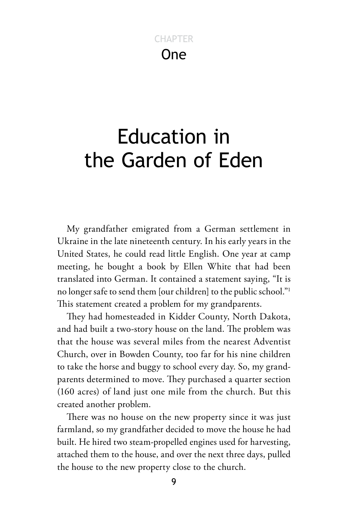# One **CHAPTER**

# Education in the Garden of Eden

My grandfather emigrated from a German settlement in Ukraine in the late nineteenth century. In his early years in the United States, he could read little English. One year at camp meeting, he bought a book by Ellen White that had been translated into German. It contained a statement saying, "It is no longer safe to send them [our children] to the public school."1 This statement created a problem for my grandparents.

They had homesteaded in Kidder County, North Dakota, and had built a two-story house on the land. The problem was that the house was several miles from the nearest Adventist Church, over in Bowden County, too far for his nine children to take the horse and buggy to school every day. So, my grandparents determined to move. They purchased a quarter section (160 acres) of land just one mile from the church. But this created another problem.

There was no house on the new property since it was just farmland, so my grandfather decided to move the house he had built. He hired two steam-propelled engines used for harvesting, attached them to the house, and over the next three days, pulled the house to the new property close to the church.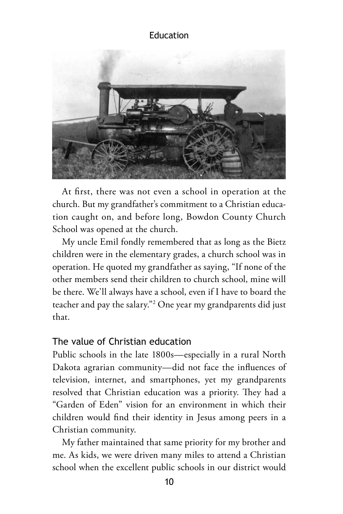

At first, there was not even a school in operation at the church. But my grandfather's commitment to a Christian education caught on, and before long, Bowdon County Church School was opened at the church.

My uncle Emil fondly remembered that as long as the Bietz children were in the elementary grades, a church school was in operation. He quoted my grandfather as saying, "If none of the other members send their children to church school, mine will be there. We'll always have a school, even if I have to board the teacher and pay the salary."2 One year my grandparents did just that.

# The value of Christian education

Public schools in the late 1800s—especially in a rural North Dakota agrarian community—did not face the influences of television, internet, and smartphones, yet my grandparents resolved that Christian education was a priority. They had a "Garden of Eden" vision for an environment in which their children would find their identity in Jesus among peers in a Christian community.

My father maintained that same priority for my brother and me. As kids, we were driven many miles to attend a Christian school when the excellent public schools in our district would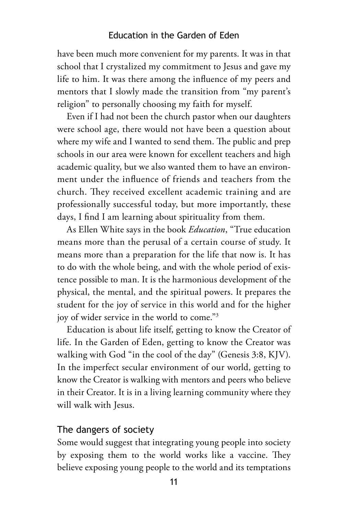have been much more convenient for my parents. It was in that school that I crystalized my commitment to Jesus and gave my life to him. It was there among the influence of my peers and mentors that I slowly made the transition from "my parent's religion" to personally choosing my faith for myself.

Even if I had not been the church pastor when our daughters were school age, there would not have been a question about where my wife and I wanted to send them. The public and prep schools in our area were known for excellent teachers and high academic quality, but we also wanted them to have an environment under the influence of friends and teachers from the church. They received excellent academic training and are professionally successful today, but more importantly, these days, I find I am learning about spirituality from them.

As Ellen White says in the book *Education*, "True education means more than the perusal of a certain course of study. It means more than a preparation for the life that now is. It has to do with the whole being, and with the whole period of existence possible to man. It is the harmonious development of the physical, the mental, and the spiritual powers. It prepares the student for the joy of service in this world and for the higher joy of wider service in the world to come."3

Education is about life itself, getting to know the Creator of life. In the Garden of Eden, getting to know the Creator was walking with God "in the cool of the day" (Genesis 3:8, KJV). In the imperfect secular environment of our world, getting to know the Creator is walking with mentors and peers who believe in their Creator. It is in a living learning community where they will walk with Jesus.

#### The dangers of society

Some would suggest that integrating young people into society by exposing them to the world works like a vaccine. They believe exposing young people to the world and its temptations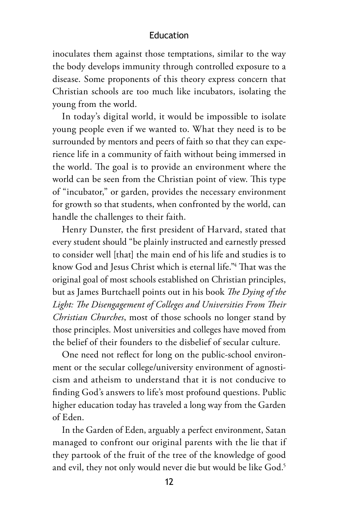inoculates them against those temptations, similar to the way the body develops immunity through controlled exposure to a disease. Some proponents of this theory express concern that Christian schools are too much like incubators, isolating the young from the world.

In today's digital world, it would be impossible to isolate young people even if we wanted to. What they need is to be surrounded by mentors and peers of faith so that they can experience life in a community of faith without being immersed in the world. The goal is to provide an environment where the world can be seen from the Christian point of view. This type of "incubator," or garden, provides the necessary environment for growth so that students, when confronted by the world, can handle the challenges to their faith.

Henry Dunster, the first president of Harvard, stated that every student should "be plainly instructed and earnestly pressed to consider well [that] the main end of his life and studies is to know God and Jesus Christ which is eternal life."4 That was the original goal of most schools established on Christian principles, but as James Burtchaell points out in his book *The Dying of the Light: The Disengagement of Colleges and Universities From Their Christian Churches*, most of those schools no longer stand by those principles. Most universities and colleges have moved from the belief of their founders to the disbelief of secular culture.

One need not reflect for long on the public-school environment or the secular college/university environment of agnosticism and atheism to understand that it is not conducive to finding God's answers to life's most profound questions. Public higher education today has traveled a long way from the Garden of Eden.

In the Garden of Eden, arguably a perfect environment, Satan managed to confront our original parents with the lie that if they partook of the fruit of the tree of the knowledge of good and evil, they not only would never die but would be like God.<sup>5</sup>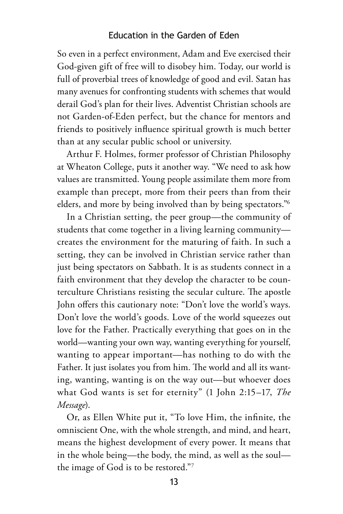So even in a perfect environment, Adam and Eve exercised their God-given gift of free will to disobey him. Today, our world is full of proverbial trees of knowledge of good and evil. Satan has many avenues for confronting students with schemes that would derail God's plan for their lives. Adventist Christian schools are not Garden-of-Eden perfect, but the chance for mentors and friends to positively influence spiritual growth is much better than at any secular public school or university.

Arthur F. Holmes, former professor of Christian Philosophy at Wheaton College, puts it another way. "We need to ask how values are transmitted. Young people assimilate them more from example than precept, more from their peers than from their elders, and more by being involved than by being spectators."6

In a Christian setting, the peer group—the community of students that come together in a living learning community creates the environment for the maturing of faith. In such a setting, they can be involved in Christian service rather than just being spectators on Sabbath. It is as students connect in a faith environment that they develop the character to be counterculture Christians resisting the secular culture. The apostle John offers this cautionary note: "Don't love the world's ways. Don't love the world's goods. Love of the world squeezes out love for the Father. Practically everything that goes on in the world—wanting your own way, wanting everything for yourself, wanting to appear important—has nothing to do with the Father. It just isolates you from him. The world and all its wanting, wanting, wanting is on the way out—but whoever does what God wants is set for eternity" (1 John 2:15–17, *The Message*).

Or, as Ellen White put it, "To love Him, the infinite, the omniscient One, with the whole strength, and mind, and heart, means the highest development of every power. It means that in the whole being—the body, the mind, as well as the soul the image of God is to be restored."7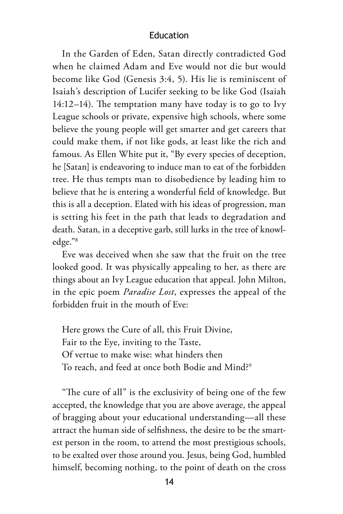In the Garden of Eden, Satan directly contradicted God when he claimed Adam and Eve would not die but would become like God (Genesis 3:4, 5). His lie is reminiscent of Isaiah's description of Lucifer seeking to be like God (Isaiah 14:12–14). The temptation many have today is to go to Ivy League schools or private, expensive high schools, where some believe the young people will get smarter and get careers that could make them, if not like gods, at least like the rich and famous. As Ellen White put it, "By every species of deception, he [Satan] is endeavoring to induce man to eat of the forbidden tree. He thus tempts man to disobedience by leading him to believe that he is entering a wonderful field of knowledge. But this is all a deception. Elated with his ideas of progression, man is setting his feet in the path that leads to degradation and death. Satan, in a deceptive garb, still lurks in the tree of knowledge."8

Eve was deceived when she saw that the fruit on the tree looked good. It was physically appealing to her, as there are things about an Ivy League education that appeal. John Milton, in the epic poem *Paradise Lost*, expresses the appeal of the forbidden fruit in the mouth of Eve:

Here grows the Cure of all, this Fruit Divine, Fair to the Eye, inviting to the Taste, Of vertue to make wise: what hinders then To reach, and feed at once both Bodie and Mind?<sup>9</sup>

"The cure of all" is the exclusivity of being one of the few accepted, the knowledge that you are above average, the appeal of bragging about your educational understanding—all these attract the human side of selfishness, the desire to be the smartest person in the room, to attend the most prestigious schools, to be exalted over those around you. Jesus, being God, humbled himself, becoming nothing, to the point of death on the cross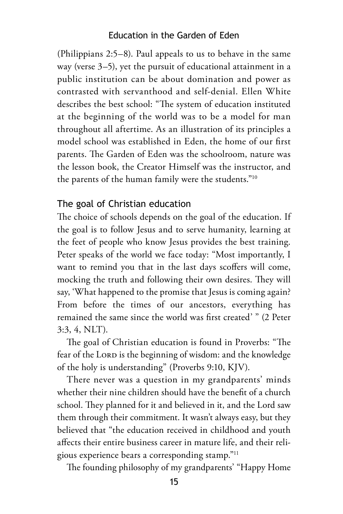(Philippians 2:5–8). Paul appeals to us to behave in the same way (verse 3–5), yet the pursuit of educational attainment in a public institution can be about domination and power as contrasted with servanthood and self-denial. Ellen White describes the best school: "The system of education instituted at the beginning of the world was to be a model for man throughout all aftertime. As an illustration of its principles a model school was established in Eden, the home of our first parents. The Garden of Eden was the schoolroom, nature was the lesson book, the Creator Himself was the instructor, and the parents of the human family were the students."10

#### The goal of Christian education

The choice of schools depends on the goal of the education. If the goal is to follow Jesus and to serve humanity, learning at the feet of people who know Jesus provides the best training. Peter speaks of the world we face today: "Most importantly, I want to remind you that in the last days scoffers will come, mocking the truth and following their own desires. They will say, 'What happened to the promise that Jesus is coming again? From before the times of our ancestors, everything has remained the same since the world was first created' " (2 Peter 3:3, 4, NLT).

The goal of Christian education is found in Proverbs: "The fear of the LORD is the beginning of wisdom: and the knowledge of the holy is understanding" (Proverbs 9:10, KJV).

There never was a question in my grandparents' minds whether their nine children should have the benefit of a church school. They planned for it and believed in it, and the Lord saw them through their commitment. It wasn't always easy, but they believed that "the education received in childhood and youth affects their entire business career in mature life, and their religious experience bears a corresponding stamp."11

The founding philosophy of my grandparents' "Happy Home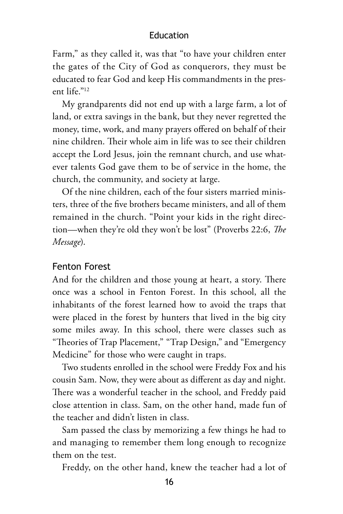Farm," as they called it, was that "to have your children enter the gates of the City of God as conquerors, they must be educated to fear God and keep His commandments in the present life."12

My grandparents did not end up with a large farm, a lot of land, or extra savings in the bank, but they never regretted the money, time, work, and many prayers offered on behalf of their nine children. Their whole aim in life was to see their children accept the Lord Jesus, join the remnant church, and use whatever talents God gave them to be of service in the home, the church, the community, and society at large.

Of the nine children, each of the four sisters married ministers, three of the five brothers became ministers, and all of them remained in the church. "Point your kids in the right direction—when they're old they won't be lost" (Proverbs 22:6, *The Message*).

#### Fenton Forest

And for the children and those young at heart, a story. There once was a school in Fenton Forest. In this school, all the inhabitants of the forest learned how to avoid the traps that were placed in the forest by hunters that lived in the big city some miles away. In this school, there were classes such as "Theories of Trap Placement," "Trap Design," and "Emergency Medicine" for those who were caught in traps.

Two students enrolled in the school were Freddy Fox and his cousin Sam. Now, they were about as different as day and night. There was a wonderful teacher in the school, and Freddy paid close attention in class. Sam, on the other hand, made fun of the teacher and didn't listen in class.

Sam passed the class by memorizing a few things he had to and managing to remember them long enough to recognize them on the test.

Freddy, on the other hand, knew the teacher had a lot of